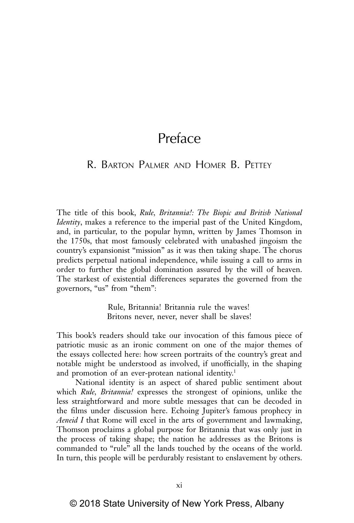## Preface

## R. BARTON PALMER AND HOMER B. PETTEY

The title of this book, *Rule, Britannia!: The Biopic and British National Identity*, makes a reference to the imperial past of the United Kingdom, and, in particular, to the popular hymn, written by James Thomson in the 1750s, that most famously celebrated with unabashed jingoism the country's expansionist "mission" as it was then taking shape. The chorus predicts perpetual national independence, while issuing a call to arms in order to further the global domination assured by the will of heaven. The starkest of existential differences separates the governed from the governors, "us" from "them":

> Rule, Britannia! Britannia rule the waves! Britons never, never, never shall be slaves!

This book's readers should take our invocation of this famous piece of patriotic music as an ironic comment on one of the major themes of the essays collected here: how screen portraits of the country's great and notable might be understood as involved, if unofficially, in the shaping and promotion of an ever-protean national identity.<sup>1</sup>

National identity is an aspect of shared public sentiment about which *Rule, Britannia!* expresses the strongest of opinions, unlike the less straightforward and more subtle messages that can be decoded in the films under discussion here. Echoing Jupiter's famous prophecy in *Aeneid I* that Rome will excel in the arts of government and lawmaking, Thomson proclaims a global purpose for Britannia that was only just in the process of taking shape; the nation he addresses as the Britons is commanded to "rule" all the lands touched by the oceans of the world. In turn, this people will be perdurably resistant to enslavement by others.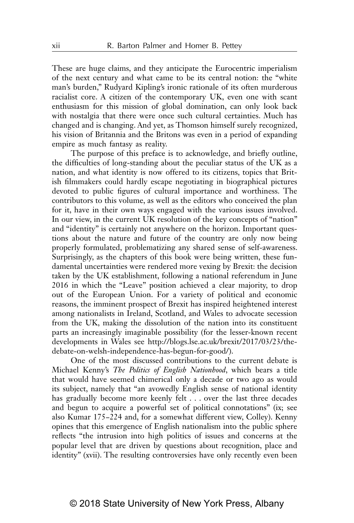These are huge claims, and they anticipate the Eurocentric imperialism of the next century and what came to be its central notion: the "white man's burden," Rudyard Kipling's ironic rationale of its often murderous racialist core. A citizen of the contemporary UK, even one with scant enthusiasm for this mission of global domination, can only look back with nostalgia that there were once such cultural certainties. Much has changed and is changing. And yet, as Thomson himself surely recognized, his vision of Britannia and the Britons was even in a period of expanding empire as much fantasy as reality.

The purpose of this preface is to acknowledge, and briefly outline, the difficulties of long-standing about the peculiar status of the UK as a nation, and what identity is now offered to its citizens, topics that British filmmakers could hardly escape negotiating in biographical pictures devoted to public figures of cultural importance and worthiness. The contributors to this volume, as well as the editors who conceived the plan for it, have in their own ways engaged with the various issues involved. In our view, in the current UK resolution of the key concepts of "nation" and "identity" is certainly not anywhere on the horizon. Important questions about the nature and future of the country are only now being properly formulated, problematizing any shared sense of self-awareness. Surprisingly, as the chapters of this book were being written, these fundamental uncertainties were rendered more vexing by Brexit: the decision taken by the UK establishment, following a national referendum in June 2016 in which the "Leave" position achieved a clear majority, to drop out of the European Union. For a variety of political and economic reasons, the imminent prospect of Brexit has inspired heightened interest among nationalists in Ireland, Scotland, and Wales to advocate secession from the UK, making the dissolution of the nation into its constituent parts an increasingly imaginable possibility (for the lesser-known recent developments in Wales see http://blogs.lse.ac.uk/brexit/2017/03/23/thedebate-on-welsh-independence-has-begun-for-good/).

One of the most discussed contributions to the current debate is Michael Kenny's *The Politics of English Nationhood*, which bears a title that would have seemed chimerical only a decade or two ago as would its subject, namely that "an avowedly English sense of national identity has gradually become more keenly felt . . . over the last three decades and begun to acquire a powerful set of political connotations" (ix; see also Kumar 175−224 and, for a somewhat different view, Colley). Kenny opines that this emergence of English nationalism into the public sphere reflects "the intrusion into high politics of issues and concerns at the popular level that are driven by questions about recognition, place and identity" (xvii). The resulting controversies have only recently even been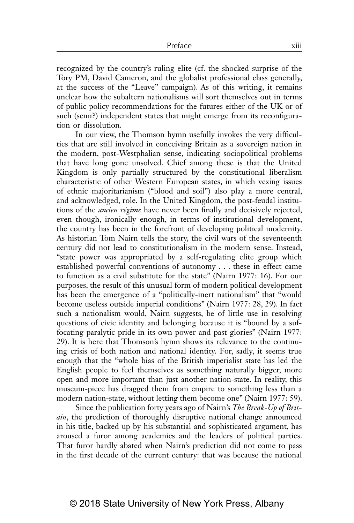recognized by the country's ruling elite (cf. the shocked surprise of the Tory PM, David Cameron, and the globalist professional class generally, at the success of the "Leave" campaign). As of this writing, it remains unclear how the subaltern nationalisms will sort themselves out in terms of public policy recommendations for the futures either of the UK or of such (semi?) independent states that might emerge from its reconfiguration or dissolution.

In our view, the Thomson hymn usefully invokes the very difficulties that are still involved in conceiving Britain as a sovereign nation in the modern, post-Westphalian sense, indicating sociopolitical problems that have long gone unsolved. Chief among these is that the United Kingdom is only partially structured by the constitutional liberalism characteristic of other Western European states, in which vexing issues of ethnic majoritarianism ("blood and soil") also play a more central, and acknowledged, role. In the United Kingdom, the post-feudal institutions of the *ancien régime* have never been finally and decisively rejected, even though, ironically enough, in terms of institutional development, the country has been in the forefront of developing political modernity. As historian Tom Nairn tells the story, the civil wars of the seventeenth century did not lead to constitutionalism in the modern sense. Instead, "state power was appropriated by a self-regulating elite group which established powerful conventions of autonomy . . . these in effect came to function as a civil substitute for the state" (Nairn 1977: 16). For our purposes, the result of this unusual form of modern political development has been the emergence of a "politically-inert nationalism" that "would become useless outside imperial conditions" (Nairn 1977: 28, 29). In fact such a nationalism would, Nairn suggests, be of little use in resolving questions of civic identity and belonging because it is "bound by a suffocating paralytic pride in its own power and past glories" (Nairn 1977: 29). It is here that Thomson's hymn shows its relevance to the continuing crisis of both nation and national identity. For, sadly, it seems true enough that the "whole bias of the British imperialist state has led the English people to feel themselves as something naturally bigger, more open and more important than just another nation-state. In reality, this museum-piece has dragged them from empire to something less than a modern nation-state, without letting them become one" (Nairn 1977: 59).

Since the publication forty years ago of Nairn's *The Break-Up of Britain*, the prediction of thoroughly disruptive national change announced in his title, backed up by his substantial and sophisticated argument, has aroused a furor among academics and the leaders of political parties. That furor hardly abated when Nairn's prediction did not come to pass in the first decade of the current century: that was because the national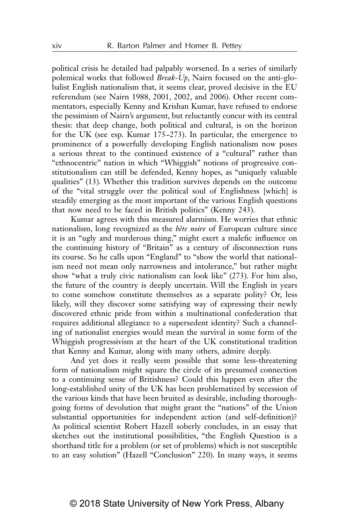political crisis he detailed had palpably worsened. In a series of similarly polemical works that followed *Break-Up*, Nairn focused on the anti-globalist English nationalism that, it seems clear, proved decisive in the EU referendum (see Nairn 1988, 2001, 2002, and 2006). Other recent commentators, especially Kenny and Krishan Kumar, have refused to endorse the pessimism of Nairn's argument, but reluctantly concur with its central thesis: that deep change, both political and cultural, is on the horizon for the UK (see esp. Kumar 175−273). In particular, the emergence to prominence of a powerfully developing English nationalism now poses a serious threat to the continued existence of a "cultural" rather than "ethnocentric" nation in which "Whiggish" notions of progressive constitutionalism can still be defended, Kenny hopes, as "uniquely valuable qualities" (13). Whether this tradition survives depends on the outcome of the "vital struggle over the political soul of Englishness [which] is steadily emerging as the most important of the various English questions that now need to be faced in British politics" (Kenny 243).

Kumar agrees with this measured alarmism. He worries that ethnic nationalism, long recognized as the *bête noire* of European culture since it is an "ugly and murderous thing," might exert a malefic influence on the continuing history of "Britain" as a century of disconnection runs its course. So he calls upon "England" to "show the world that nationalism need not mean only narrowness and intolerance," but rather might show "what a truly civic nationalism can look like" (273). For him also, the future of the country is deeply uncertain. Will the English in years to come somehow constitute themselves as a separate polity? Or, less likely, will they discover some satisfying way of expressing their newly discovered ethnic pride from within a multinational confederation that requires additional allegiance to a supersedent identity? Such a channeling of nationalist energies would mean the survival in some form of the Whiggish progressivism at the heart of the UK constitutional tradition that Kenny and Kumar, along with many others, admire deeply.

And yet does it really seem possible that some less-threatening form of nationalism might square the circle of its presumed connection to a continuing sense of Britishness? Could this happen even after the long-established unity of the UK has been problematized by secession of the various kinds that have been bruited as desirable, including thoroughgoing forms of devolution that might grant the "nations" of the Union substantial opportunities for independent action (and self-definition)? As political scientist Robert Hazell soberly concludes, in an essay that sketches out the institutional possibilities, "the English Question is a shorthand title for a problem (or set of problems) which is not susceptible to an easy solution" (Hazell "Conclusion" 220). In many ways, it seems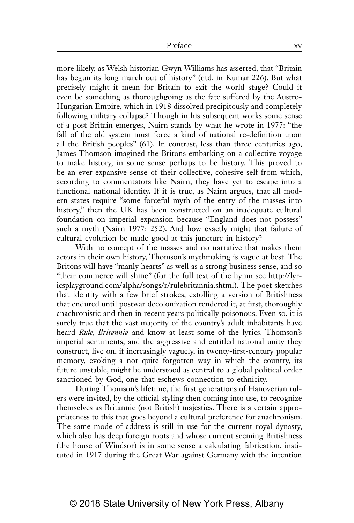more likely, as Welsh historian Gwyn Williams has asserted, that "Britain has begun its long march out of history" (qtd. in Kumar 226). But what precisely might it mean for Britain to exit the world stage? Could it even be something as thoroughgoing as the fate suffered by the Austro-Hungarian Empire, which in 1918 dissolved precipitously and completely following military collapse? Though in his subsequent works some sense of a post-Britain emerges, Nairn stands by what he wrote in 1977: "the fall of the old system must force a kind of national re-definition upon all the British peoples" (61). In contrast, less than three centuries ago, James Thomson imagined the Britons embarking on a collective voyage to make history, in some sense perhaps to be history. This proved to be an ever-expansive sense of their collective, cohesive self from which, according to commentators like Nairn, they have yet to escape into a functional national identity. If it is true, as Nairn argues, that all modern states require "some forceful myth of the entry of the masses into history," then the UK has been constructed on an inadequate cultural foundation on imperial expansion because "England does not possess" such a myth (Nairn 1977: 252). And how exactly might that failure of cultural evolution be made good at this juncture in history?

With no concept of the masses and no narrative that makes them actors in their own history, Thomson's mythmaking is vague at best. The Britons will have "manly hearts" as well as a strong business sense, and so "their commerce will shine" (for the full text of the hymn see http://lyricsplayground.com/alpha/songs/r/rulebritannia.shtml). The poet sketches that identity with a few brief strokes, extolling a version of Britishness that endured until postwar decolonization rendered it, at first, thoroughly anachronistic and then in recent years politically poisonous. Even so, it is surely true that the vast majority of the country's adult inhabitants have heard *Rule, Britannia* and know at least some of the lyrics. Thomson's imperial sentiments, and the aggressive and entitled national unity they construct, live on, if increasingly vaguely, in twenty-first-century popular memory, evoking a not quite forgotten way in which the country, its future unstable, might be understood as central to a global political order sanctioned by God, one that eschews connection to ethnicity.

During Thomson's lifetime, the first generations of Hanoverian rulers were invited, by the official styling then coming into use, to recognize themselves as Britannic (not British) majesties. There is a certain appropriateness to this that goes beyond a cultural preference for anachronism. The same mode of address is still in use for the current royal dynasty, which also has deep foreign roots and whose current seeming Britishness (the house of Windsor) is in some sense a calculating fabrication, instituted in 1917 during the Great War against Germany with the intention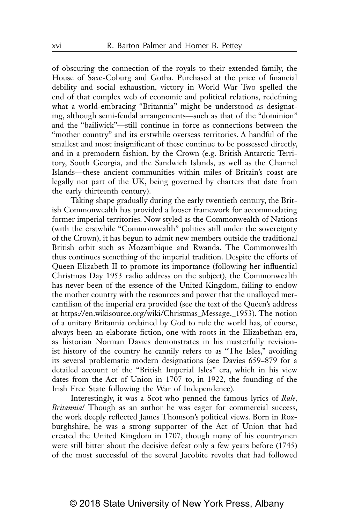of obscuring the connection of the royals to their extended family, the House of Saxe-Coburg and Gotha. Purchased at the price of financial debility and social exhaustion, victory in World War Two spelled the end of that complex web of economic and political relations, redefining what a world-embracing "Britannia" might be understood as designating, although semi-feudal arrangements—such as that of the "dominion" and the "bailiwick"—still continue in force as connections between the "mother country" and its erstwhile overseas territories. A handful of the smallest and most insignificant of these continue to be possessed directly, and in a premodern fashion, by the Crown (e.g. British Antarctic Territory, South Georgia, and the Sandwich Islands, as well as the Channel Islands—these ancient communities within miles of Britain's coast are legally not part of the UK, being governed by charters that date from the early thirteenth century).

Taking shape gradually during the early twentieth century, the British Commonwealth has provided a looser framework for accommodating former imperial territories. Now styled as the Commonwealth of Nations (with the erstwhile "Commonwealth" polities still under the sovereignty of the Crown), it has begun to admit new members outside the traditional British orbit such as Mozambique and Rwanda. The Commonwealth thus continues something of the imperial tradition. Despite the efforts of Queen Elizabeth II to promote its importance (following her influential Christmas Day 1953 radio address on the subject), the Commonwealth has never been of the essence of the United Kingdom, failing to endow the mother country with the resources and power that the unalloyed mercantilism of the imperial era provided (see the text of the Queen's address at https://en.wikisource.org/wiki/Christmas\_Message,\_1953). The notion of a unitary Britannia ordained by God to rule the world has, of course, always been an elaborate fiction, one with roots in the Elizabethan era, as historian Norman Davies demonstrates in his masterfully revisionist history of the country he cannily refers to as "The Isles," avoiding its several problematic modern designations (see Davies 659−879 for a detailed account of the "British Imperial Isles" era, which in his view dates from the Act of Union in 1707 to, in 1922, the founding of the Irish Free State following the War of Independence).

Interestingly, it was a Scot who penned the famous lyrics of *Rule, Britannia!* Though as an author he was eager for commercial success, the work deeply reflected James Thomson's political views. Born in Roxburghshire, he was a strong supporter of the Act of Union that had created the United Kingdom in 1707, though many of his countrymen were still bitter about the decisive defeat only a few years before (1745) of the most successful of the several Jacobite revolts that had followed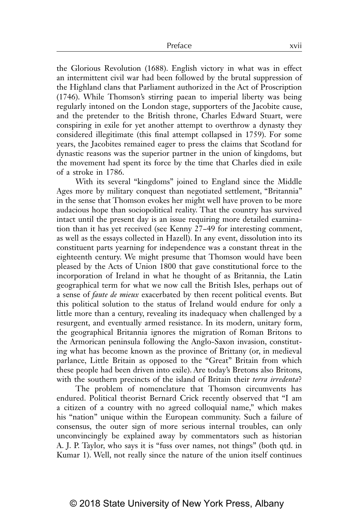the Glorious Revolution (1688). English victory in what was in effect an intermittent civil war had been followed by the brutal suppression of the Highland clans that Parliament authorized in the Act of Proscription (1746). While Thomson's stirring paean to imperial liberty was being regularly intoned on the London stage, supporters of the Jacobite cause, and the pretender to the British throne, Charles Edward Stuart, were conspiring in exile for yet another attempt to overthrow a dynasty they considered illegitimate (this final attempt collapsed in 1759). For some years, the Jacobites remained eager to press the claims that Scotland for dynastic reasons was the superior partner in the union of kingdoms, but the movement had spent its force by the time that Charles died in exile of a stroke in 1786.

With its several "kingdoms" joined to England since the Middle Ages more by military conquest than negotiated settlement, "Britannia" in the sense that Thomson evokes her might well have proven to be more audacious hope than sociopolitical reality. That the country has survived intact until the present day is an issue requiring more detailed examination than it has yet received (see Kenny 27−49 for interesting comment, as well as the essays collected in Hazell). In any event, dissolution into its constituent parts yearning for independence was a constant threat in the eighteenth century. We might presume that Thomson would have been pleased by the Acts of Union 1800 that gave constitutional force to the incorporation of Ireland in what he thought of as Britannia, the Latin geographical term for what we now call the British Isles, perhaps out of a sense of *faute de mieux* exacerbated by then recent political events. But this political solution to the status of Ireland would endure for only a little more than a century, revealing its inadequacy when challenged by a resurgent, and eventually armed resistance. In its modern, unitary form, the geographical Britannia ignores the migration of Roman Britons to the Armorican peninsula following the Anglo-Saxon invasion, constituting what has become known as the province of Brittany (or, in medieval parlance, Little Britain as opposed to the "Great" Britain from which these people had been driven into exile). Are today's Bretons also Britons, with the southern precincts of the island of Britain their *terra irredenta*?

The problem of nomenclature that Thomson circumvents has endured. Political theorist Bernard Crick recently observed that "I am a citizen of a country with no agreed colloquial name," which makes his "nation" unique within the European community. Such a failure of consensus, the outer sign of more serious internal troubles, can only unconvincingly be explained away by commentators such as historian A. J. P. Taylor, who says it is "fuss over names, not things" (both qtd. in Kumar 1). Well, not really since the nature of the union itself continues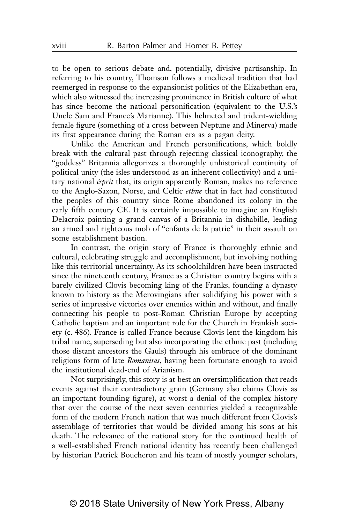to be open to serious debate and, potentially, divisive partisanship. In referring to his country, Thomson follows a medieval tradition that had reemerged in response to the expansionist politics of the Elizabethan era, which also witnessed the increasing prominence in British culture of what has since become the national personification (equivalent to the U.S.'s Uncle Sam and France's Marianne). This helmeted and trident-wielding female figure (something of a cross between Neptune and Minerva) made its first appearance during the Roman era as a pagan deity.

Unlike the American and French personifications, which boldly break with the cultural past through rejecting classical iconography, the "goddess" Britannia allegorizes a thoroughly unhistorical continuity of political unity (the isles understood as an inherent collectivity) and a unitary national *ésprit* that, its origin apparently Roman, makes no reference to the Anglo-Saxon, Norse, and Celtic *ethne* that in fact had constituted the peoples of this country since Rome abandoned its colony in the early fifth century CE. It is certainly impossible to imagine an English Delacroix painting a grand canvas of a Britannia in dishabille, leading an armed and righteous mob of "enfants de la patrie" in their assault on some establishment bastion.

In contrast, the origin story of France is thoroughly ethnic and cultural, celebrating struggle and accomplishment, but involving nothing like this territorial uncertainty. As its schoolchildren have been instructed since the nineteenth century, France as a Christian country begins with a barely civilized Clovis becoming king of the Franks, founding a dynasty known to history as the Merovingians after solidifying his power with a series of impressive victories over enemies within and without, and finally connecting his people to post-Roman Christian Europe by accepting Catholic baptism and an important role for the Church in Frankish society (c. 486). France is called France because Clovis lent the kingdom his tribal name, superseding but also incorporating the ethnic past (including those distant ancestors the Gauls) through his embrace of the dominant religious form of late *Romanitas*, having been fortunate enough to avoid the institutional dead-end of Arianism.

Not surprisingly, this story is at best an oversimplification that reads events against their contradictory grain (Germany also claims Clovis as an important founding figure), at worst a denial of the complex history that over the course of the next seven centuries yielded a recognizable form of the modern French nation that was much different from Clovis's assemblage of territories that would be divided among his sons at his death. The relevance of the national story for the continued health of a well-established French national identity has recently been challenged by historian Patrick Boucheron and his team of mostly younger scholars,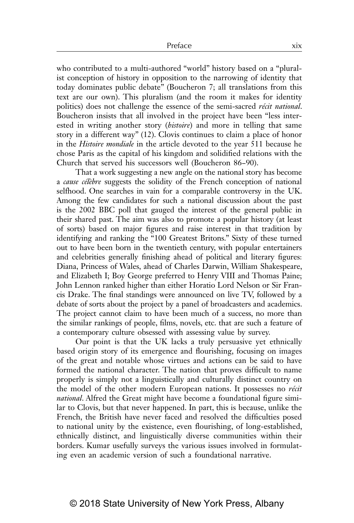who contributed to a multi-authored "world" history based on a "pluralist conception of history in opposition to the narrowing of identity that today dominates public debate" (Boucheron 7; all translations from this text are our own). This pluralism (and the room it makes for identity politics) does not challenge the essence of the semi-sacred *récit national*. Boucheron insists that all involved in the project have been "less interested in writing another story (*histoire*) and more in telling that same story in a different way" (12). Clovis continues to claim a place of honor in the *Histoire mondiale* in the article devoted to the year 511 because he chose Paris as the capital of his kingdom and solidified relations with the Church that served his successors well (Boucheron 86−90).

That a work suggesting a new angle on the national story has become a *cause célèbre* suggests the solidity of the French conception of national selfhood. One searches in vain for a comparable controversy in the UK. Among the few candidates for such a national discussion about the past is the 2002 BBC poll that gauged the interest of the general public in their shared past. The aim was also to promote a popular history (at least of sorts) based on major figures and raise interest in that tradition by identifying and ranking the "100 Greatest Britons." Sixty of these turned out to have been born in the twentieth century, with popular entertainers and celebrities generally finishing ahead of political and literary figures: Diana, Princess of Wales, ahead of Charles Darwin, William Shakespeare, and Elizabeth I; Boy George preferred to Henry VIII and Thomas Paine; John Lennon ranked higher than either Horatio Lord Nelson or Sir Francis Drake. The final standings were announced on live TV, followed by a debate of sorts about the project by a panel of broadcasters and academics. The project cannot claim to have been much of a success, no more than the similar rankings of people, films, novels, etc. that are such a feature of a contemporary culture obsessed with assessing value by survey.

Our point is that the UK lacks a truly persuasive yet ethnically based origin story of its emergence and flourishing, focusing on images of the great and notable whose virtues and actions can be said to have formed the national character. The nation that proves difficult to name properly is simply not a linguistically and culturally distinct country on the model of the other modern European nations. It possesses no *récit national*. Alfred the Great might have become a foundational figure similar to Clovis, but that never happened. In part, this is because, unlike the French, the British have never faced and resolved the difficulties posed to national unity by the existence, even flourishing, of long-established, ethnically distinct, and linguistically diverse communities within their borders. Kumar usefully surveys the various issues involved in formulating even an academic version of such a foundational narrative.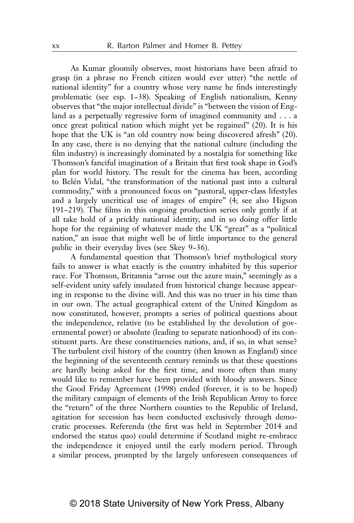As Kumar gloomily observes, most historians have been afraid to grasp (in a phrase no French citizen would ever utter) "the nettle of national identity" for a country whose very name he finds interestingly problematic (see esp. 1−38). Speaking of English nationalism, Kenny observes that "the major intellectual divide" is "between the vision of England as a perpetually regressive form of imagined community and . . . a once great political nation which might yet be regained" (20). It is his hope that the UK is "an old country now being discovered afresh" (20). In any case, there is no denying that the national culture (including the film industry) is increasingly dominated by a nostalgia for something like Thomson's fanciful imagination of a Britain that first took shape in God's plan for world history. The result for the cinema has been, according to Belén Vidal, "the transformation of the national past into a cultural commodity," with a pronounced focus on "pastoral, upper-class lifestyles and a largely uncritical use of images of empire" (4; see also Higson 191−219). The films in this ongoing production series only gently if at all take hold of a prickly national identity, and in so doing offer little hope for the regaining of whatever made the UK "great" as a "political nation," an issue that might well be of little importance to the general public in their everyday lives (see Skey 9−36).

A fundamental question that Thomson's brief mythological story fails to answer is what exactly is the country inhabited by this superior race. For Thomson, Britannia "arose out the azure main," seemingly as a self-evident unity safely insulated from historical change because appearing in response to the divine will. And this was no truer in his time than in our own. The actual geographical extent of the United Kingdom as now constituted, however, prompts a series of political questions about the independence, relative (to be established by the devolution of governmental power) or absolute (leading to separate nationhood) of its constituent parts. Are these constituencies nations, and, if so, in what sense? The turbulent civil history of the country (then known as England) since the beginning of the seventeenth century reminds us that these questions are hardly being asked for the first time, and more often than many would like to remember have been provided with bloody answers. Since the Good Friday Agreement (1998) ended (forever, it is to be hoped) the military campaign of elements of the Irish Republican Army to force the "return" of the three Northern counties to the Republic of Ireland, agitation for secession has been conducted exclusively through democratic processes. Referenda (the first was held in September 2014 and endorsed the status quo) could determine if Scotland might re-embrace the independence it enjoyed until the early modern period. Through a similar process, prompted by the largely unforeseen consequences of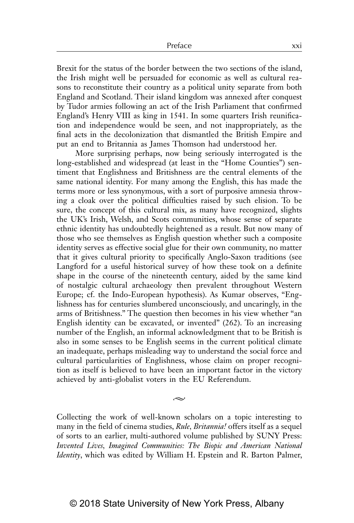Brexit for the status of the border between the two sections of the island, the Irish might well be persuaded for economic as well as cultural reasons to reconstitute their country as a political unity separate from both England and Scotland. Their island kingdom was annexed after conquest by Tudor armies following an act of the Irish Parliament that confirmed England's Henry VIII as king in 1541. In some quarters Irish reunification and independence would be seen, and not inappropriately, as the final acts in the decolonization that dismantled the British Empire and put an end to Britannia as James Thomson had understood her.

More surprising perhaps, now being seriously interrogated is the long-established and widespread (at least in the "Home Counties") sentiment that Englishness and Britishness are the central elements of the same national identity. For many among the English, this has made the terms more or less synonymous, with a sort of purposive amnesia throwing a cloak over the political difficulties raised by such elision. To be sure, the concept of this cultural mix, as many have recognized, slights the UK's Irish, Welsh, and Scots communities, whose sense of separate ethnic identity has undoubtedly heightened as a result. But now many of those who see themselves as English question whether such a composite identity serves as effective social glue for their own community, no matter that it gives cultural priority to specifically Anglo-Saxon traditions (see Langford for a useful historical survey of how these took on a definite shape in the course of the nineteenth century, aided by the same kind of nostalgic cultural archaeology then prevalent throughout Western Europe; cf. the Indo-European hypothesis). As Kumar observes, "Englishness has for centuries slumbered unconsciously, and uncaringly, in the arms of Britishness." The question then becomes in his view whether "an English identity can be excavated, or invented" (262). To an increasing number of the English, an informal acknowledgment that to be British is also in some senses to be English seems in the current political climate an inadequate, perhaps misleading way to understand the social force and cultural particularities of Englishness, whose claim on proper recognition as itself is believed to have been an important factor in the victory achieved by anti-globalist voters in the EU Referendum.

Collecting the work of well-known scholars on a topic interesting to many in the field of cinema studies, *Rule, Britannia!* offers itself as a sequel of sorts to an earlier, multi-authored volume published by SUNY Press: *Invented Lives, Imagined Communities: The Biopic and American National Identity*, which was edited by William H. Epstein and R. Barton Palmer,

 $\sim$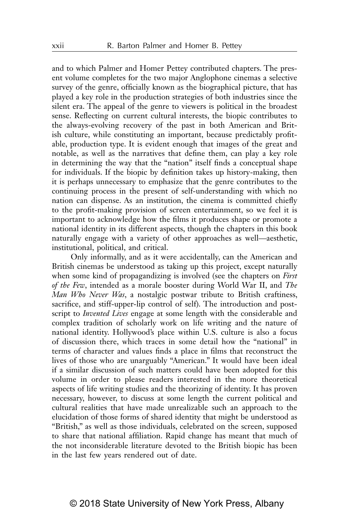and to which Palmer and Homer Pettey contributed chapters. The present volume completes for the two major Anglophone cinemas a selective survey of the genre, officially known as the biographical picture, that has played a key role in the production strategies of both industries since the silent era. The appeal of the genre to viewers is political in the broadest sense. Reflecting on current cultural interests, the biopic contributes to the always-evolving recovery of the past in both American and British culture, while constituting an important, because predictably profitable, production type. It is evident enough that images of the great and notable, as well as the narratives that define them, can play a key role in determining the way that the "nation" itself finds a conceptual shape for individuals. If the biopic by definition takes up history-making, then it is perhaps unnecessary to emphasize that the genre contributes to the continuing process in the present of self-understanding with which no nation can dispense. As an institution, the cinema is committed chiefly to the profit-making provision of screen entertainment, so we feel it is important to acknowledge how the films it produces shape or promote a national identity in its different aspects, though the chapters in this book naturally engage with a variety of other approaches as well—aesthetic, institutional, political, and critical.

Only informally, and as it were accidentally, can the American and British cinemas be understood as taking up this project, except naturally when some kind of propagandizing is involved (see the chapters on *First of the Few*, intended as a morale booster during World War II, and *The Man Who Never Was*, a nostalgic postwar tribute to British craftiness, sacrifice, and stiff-upper-lip control of self). The introduction and postscript to *Invented Lives* engage at some length with the considerable and complex tradition of scholarly work on life writing and the nature of national identity. Hollywood's place within U.S. culture is also a focus of discussion there, which traces in some detail how the "national" in terms of character and values finds a place in films that reconstruct the lives of those who are unarguably "American." It would have been ideal if a similar discussion of such matters could have been adopted for this volume in order to please readers interested in the more theoretical aspects of life writing studies and the theorizing of identity. It has proven necessary, however, to discuss at some length the current political and cultural realities that have made unrealizable such an approach to the elucidation of those forms of shared identity that might be understood as "British," as well as those individuals, celebrated on the screen, supposed to share that national affiliation. Rapid change has meant that much of the not inconsiderable literature devoted to the British biopic has been in the last few years rendered out of date.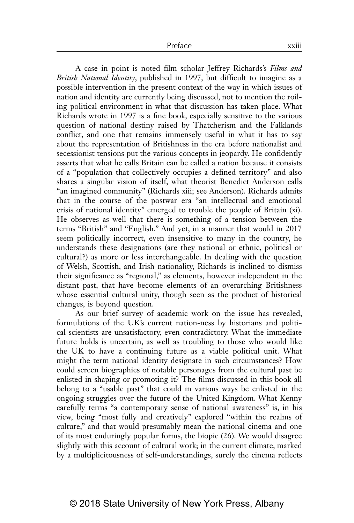Preface xxiii

A case in point is noted film scholar Jeffrey Richards's *Films and British National Identity*, published in 1997, but difficult to imagine as a possible intervention in the present context of the way in which issues of nation and identity are currently being discussed, not to mention the roiling political environment in what that discussion has taken place. What Richards wrote in 1997 is a fine book, especially sensitive to the various question of national destiny raised by Thatcherism and the Falklands conflict, and one that remains immensely useful in what it has to say about the representation of Britishness in the era before nationalist and secessionist tensions put the various concepts in jeopardy. He confidently asserts that what he calls Britain can be called a nation because it consists of a "population that collectively occupies a defined territory" and also shares a singular vision of itself, what theorist Benedict Anderson calls "an imagined community" (Richards xiii; see Anderson). Richards admits that in the course of the postwar era "an intellectual and emotional crisis of national identity" emerged to trouble the people of Britain (xi). He observes as well that there is something of a tension between the terms "British" and "English." And yet, in a manner that would in 2017 seem politically incorrect, even insensitive to many in the country, he understands these designations (are they national or ethnic, political or cultural?) as more or less interchangeable. In dealing with the question of Welsh, Scottish, and Irish nationality, Richards is inclined to dismiss their significance as "regional," as elements, however independent in the distant past, that have become elements of an overarching Britishness whose essential cultural unity, though seen as the product of historical changes, is beyond question.

As our brief survey of academic work on the issue has revealed, formulations of the UK's current nation-ness by historians and political scientists are unsatisfactory, even contradictory. What the immediate future holds is uncertain, as well as troubling to those who would like the UK to have a continuing future as a viable political unit. What might the term national identity designate in such circumstances? How could screen biographies of notable personages from the cultural past be enlisted in shaping or promoting it? The films discussed in this book all belong to a "usable past" that could in various ways be enlisted in the ongoing struggles over the future of the United Kingdom. What Kenny carefully terms "a contemporary sense of national awareness" is, in his view, being "most fully and creatively" explored "within the realms of culture," and that would presumably mean the national cinema and one of its most enduringly popular forms, the biopic (26). We would disagree slightly with this account of cultural work; in the current climate, marked by a multiplicitousness of self-understandings, surely the cinema reflects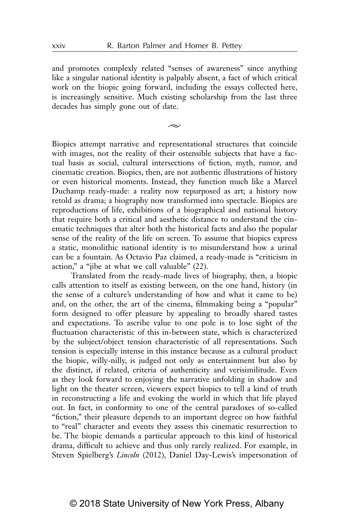and promotes complexly related "senses of awareness" since anything like a singular national identity is palpably absent, a fact of which critical work on the biopic going forward, including the essays collected here, is increasingly sensitive. Much existing scholarship from the last three decades has simply gone out of date.

 $\sim$ 

Biopics attempt narrative and representational structures that coincide with images, not the reality of their ostensible subjects that have a factual basis as social, cultural intersections of fiction, myth, rumor, and cinematic creation. Biopics, then, are not authentic illustrations of history or even historical moments. Instead, they function much like a Marcel Duchamp ready-made: a reality now repurposed as art; a history now retold as drama; a biography now transformed into spectacle. Biopics are reproductions of life, exhibitions of a biographical and national history that require both a critical and aesthetic distance to understand the cinematic techniques that alter both the historical facts and also the popular sense of the reality of the life on screen. To assume that biopics express a static, monolithic national identity is to misunderstand how a urinal can be a fountain. As Octavio Paz claimed, a ready-made is "criticism in action," a "jibe at what we call valuable" (22).

Translated from the ready-made lives of biography, then, a biopic calls attention to itself as existing between, on the one hand, history (in the sense of a culture's understanding of how and what it came to be) and, on the other, the art of the cinema, filmmaking being a "popular" form designed to offer pleasure by appealing to broadly shared tastes and expectations. To ascribe value to one pole is to lose sight of the fluctuation characteristic of this in-between state, which is characterized by the subject/object tension characteristic of all representations. Such tension is especially intense in this instance because as a cultural product the biopic, willy-nilly, is judged not only as entertainment but also by the distinct, if related, criteria of authenticity and verisimilitude. Even as they look forward to enjoying the narrative unfolding in shadow and light on the theater screen, viewers expect biopics to tell a kind of truth in reconstructing a life and evoking the world in which that life played out. In fact, in conformity to one of the central paradoxes of so-called "fiction," their pleasure depends to an important degree on how faithful to "real" character and events they assess this cinematic resurrection to be. The biopic demands a particular approach to this kind of historical drama, difficult to achieve and thus only rarely realized. For example, in Steven Spielberg's *Lincoln* (2012), Daniel Day-Lewis's impersonation of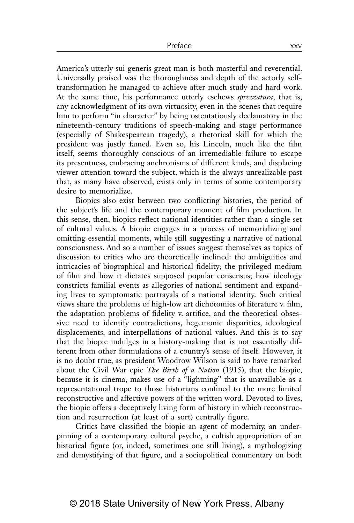America's utterly sui generis great man is both masterful and reverential. Universally praised was the thoroughness and depth of the actorly selftransformation he managed to achieve after much study and hard work. At the same time, his performance utterly eschews *sprezzatura*, that is, any acknowledgment of its own virtuosity, even in the scenes that require him to perform "in character" by being ostentatiously declamatory in the nineteenth-century traditions of speech-making and stage performance (especially of Shakespearean tragedy), a rhetorical skill for which the president was justly famed. Even so, his Lincoln, much like the film itself, seems thoroughly conscious of an irremediable failure to escape its presentness, embracing anchronisms of different kinds, and displacing viewer attention toward the subject, which is the always unrealizable past that, as many have observed, exists only in terms of some contemporary desire to memorialize.

Biopics also exist between two conflicting histories, the period of the subject's life and the contemporary moment of film production. In this sense, then, biopics reflect national identities rather than a single set of cultural values. A biopic engages in a process of memorializing and omitting essential moments, while still suggesting a narrative of national consciousness. And so a number of issues suggest themselves as topics of discussion to critics who are theoretically inclined: the ambiguities and intricacies of biographical and historical fidelity; the privileged medium of film and how it dictates supposed popular consensus; how ideology constricts familial events as allegories of national sentiment and expanding lives to symptomatic portrayals of a national identity. Such critical views share the problems of high-low art dichotomies of literature v. film, the adaptation problems of fidelity v. artifice, and the theoretical obsessive need to identify contradictions, hegemonic disparities, ideological displacements, and interpellations of national values. And this is to say that the biopic indulges in a history-making that is not essentially different from other formulations of a country's sense of itself. However, it is no doubt true, as president Woodrow Wilson is said to have remarked about the Civil War epic *The Birth of a Nation* (1915), that the biopic, because it is cinema, makes use of a "lightning" that is unavailable as a representational trope to those historians confined to the more limited reconstructive and affective powers of the written word. Devoted to lives, the biopic offers a deceptively living form of history in which reconstruction and resurrection (at least of a sort) centrally figure.

Critics have classified the biopic an agent of modernity, an underpinning of a contemporary cultural psyche, a cultish appropriation of an historical figure (or, indeed, sometimes one still living), a mythologizing and demystifying of that figure, and a sociopolitical commentary on both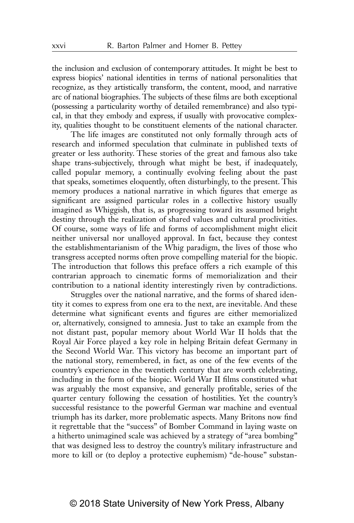the inclusion and exclusion of contemporary attitudes. It might be best to express biopics' national identities in terms of national personalities that recognize, as they artistically transform, the content, mood, and narrative arc of national biographies. The subjects of these films are both exceptional (possessing a particularity worthy of detailed remembrance) and also typical, in that they embody and express, if usually with provocative complexity, qualities thought to be constituent elements of the national character.

The life images are constituted not only formally through acts of research and informed speculation that culminate in published texts of greater or less authority. These stories of the great and famous also take shape trans-subjectively, through what might be best, if inadequately, called popular memory, a continually evolving feeling about the past that speaks, sometimes eloquently, often disturbingly, to the present. This memory produces a national narrative in which figures that emerge as significant are assigned particular roles in a collective history usually imagined as Whiggish, that is, as progressing toward its assumed bright destiny through the realization of shared values and cultural proclivities. Of course, some ways of life and forms of accomplishment might elicit neither universal nor unalloyed approval. In fact, because they contest the establishmentarianism of the Whig paradigm, the lives of those who transgress accepted norms often prove compelling material for the biopic. The introduction that follows this preface offers a rich example of this contrarian approach to cinematic forms of memorialization and their contribution to a national identity interestingly riven by contradictions.

Struggles over the national narrative, and the forms of shared identity it comes to express from one era to the next, are inevitable. And these determine what significant events and figures are either memorialized or, alternatively, consigned to amnesia. Just to take an example from the not distant past, popular memory about World War II holds that the Royal Air Force played a key role in helping Britain defeat Germany in the Second World War. This victory has become an important part of the national story, remembered, in fact, as one of the few events of the country's experience in the twentieth century that are worth celebrating, including in the form of the biopic. World War II films constituted what was arguably the most expansive, and generally profitable, series of the quarter century following the cessation of hostilities. Yet the country's successful resistance to the powerful German war machine and eventual triumph has its darker, more problematic aspects. Many Britons now find it regrettable that the "success" of Bomber Command in laying waste on a hitherto unimagined scale was achieved by a strategy of "area bombing" that was designed less to destroy the country's military infrastructure and more to kill or (to deploy a protective euphemism) "de-house" substan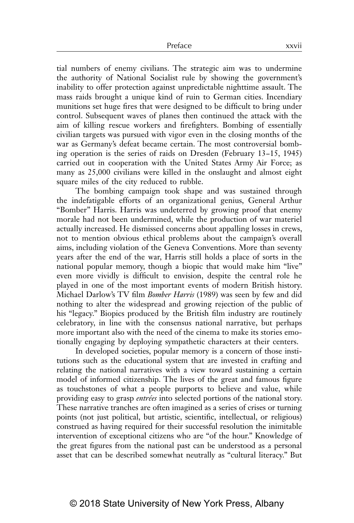tial numbers of enemy civilians. The strategic aim was to undermine the authority of National Socialist rule by showing the government's inability to offer protection against unpredictable nighttime assault. The mass raids brought a unique kind of ruin to German cities. Incendiary munitions set huge fires that were designed to be difficult to bring under control. Subsequent waves of planes then continued the attack with the aim of killing rescue workers and firefighters. Bombing of essentially civilian targets was pursued with vigor even in the closing months of the war as Germany's defeat became certain. The most controversial bombing operation is the series of raids on Dresden (February 13−15, 1945) carried out in cooperation with the United States Army Air Force; as many as 25,000 civilians were killed in the onslaught and almost eight square miles of the city reduced to rubble.

The bombing campaign took shape and was sustained through the indefatigable efforts of an organizational genius, General Arthur "Bomber" Harris. Harris was undeterred by growing proof that enemy morale had not been undermined, while the production of war materiel actually increased. He dismissed concerns about appalling losses in crews, not to mention obvious ethical problems about the campaign's overall aims, including violation of the Geneva Conventions. More than seventy years after the end of the war, Harris still holds a place of sorts in the national popular memory, though a biopic that would make him "live" even more vividly is difficult to envision, despite the central role he played in one of the most important events of modern British history. Michael Darlow's TV film *Bomber Harris* (1989) was seen by few and did nothing to alter the widespread and growing rejection of the public of his "legacy." Biopics produced by the British film industry are routinely celebratory, in line with the consensus national narrative, but perhaps more important also with the need of the cinema to make its stories emotionally engaging by deploying sympathetic characters at their centers.

In developed societies, popular memory is a concern of those institutions such as the educational system that are invested in crafting and relating the national narratives with a view toward sustaining a certain model of informed citizenship. The lives of the great and famous figure as touchstones of what a people purports to believe and value, while providing easy to grasp *entrées* into selected portions of the national story. These narrative tranches are often imagined as a series of crises or turning points (not just political, but artistic, scientific, intellectual, or religious) construed as having required for their successful resolution the inimitable intervention of exceptional citizens who are "of the hour." Knowledge of the great figures from the national past can be understood as a personal asset that can be described somewhat neutrally as "cultural literacy." But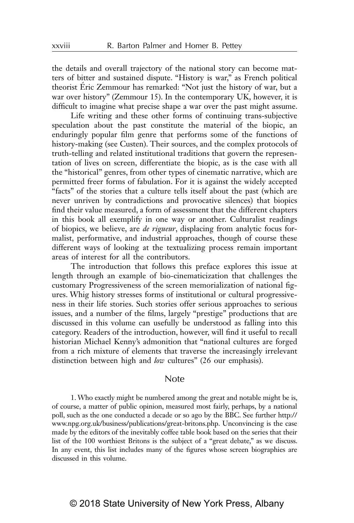the details and overall trajectory of the national story can become matters of bitter and sustained dispute. "History is war," as French political theorist Éric Zemmour has remarked: "Not just the history of war, but a war over history" (Zemmour 15). In the contemporary UK, however, it is difficult to imagine what precise shape a war over the past might assume.

Life writing and these other forms of continuing trans-subjective speculation about the past constitute the material of the biopic, an enduringly popular film genre that performs some of the functions of history-making (see Custen). Their sources, and the complex protocols of truth-telling and related institutional traditions that govern the representation of lives on screen, differentiate the biopic, as is the case with all the "historical" genres, from other types of cinematic narrative, which are permitted freer forms of fabulation. For it is against the widely accepted "facts" of the stories that a culture tells itself about the past (which are never unriven by contradictions and provocative silences) that biopics find their value measured, a form of assessment that the different chapters in this book all exemplify in one way or another. Culturalist readings of biopics, we believe, are *de rigueur*, displacing from analytic focus formalist, performative, and industrial approaches, though of course these different ways of looking at the textualizing process remain important areas of interest for all the contributors.

The introduction that follows this preface explores this issue at length through an example of bio-cinematicization that challenges the customary Progressiveness of the screen memorialization of national figures. Whig history stresses forms of institutional or cultural progressiveness in their life stories. Such stories offer serious approaches to serious issues, and a number of the films, largely "prestige" productions that are discussed in this volume can usefully be understood as falling into this category. Readers of the introduction, however, will find it useful to recall historian Michael Kenny's admonition that "national cultures are forged from a rich mixture of elements that traverse the increasingly irrelevant distinction between high and *low* cultures" (26 our emphasis).

## Note

1. Who exactly might be numbered among the great and notable might be is, of course, a matter of public opinion, measured most fairly, perhaps, by a national poll, such as the one conducted a decade or so ago by the BBC. See further http:// www.npg.org.uk/business/publications/great-britons.php. Unconvincing is the case made by the editors of the inevitably coffee table book based on the series that their list of the 100 worthiest Britons is the subject of a "great debate," as we discuss. In any event, this list includes many of the figures whose screen biographies are discussed in this volume.